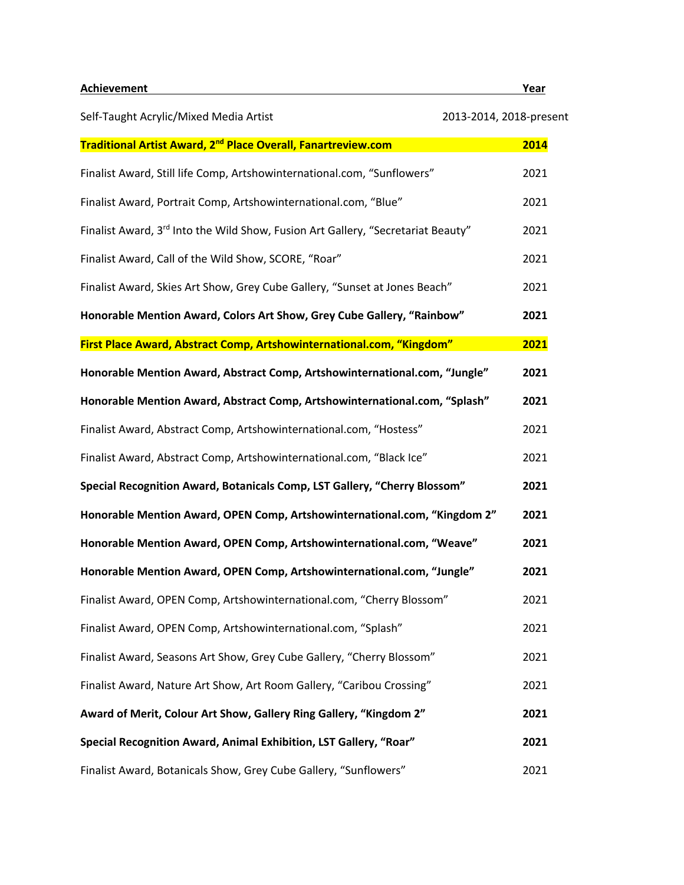**Achievement Year**

| Self-Taught Acrylic/Mixed Media Artist                                                       | 2013-2014, 2018-present |
|----------------------------------------------------------------------------------------------|-------------------------|
| Traditional Artist Award, 2 <sup>nd</sup> Place Overall, Fanartreview.com                    | 2014                    |
| Finalist Award, Still life Comp, Artshowinternational.com, "Sunflowers"                      | 2021                    |
| Finalist Award, Portrait Comp, Artshowinternational.com, "Blue"                              | 2021                    |
| Finalist Award, 3 <sup>rd</sup> Into the Wild Show, Fusion Art Gallery, "Secretariat Beauty" | 2021                    |
| Finalist Award, Call of the Wild Show, SCORE, "Roar"                                         | 2021                    |
| Finalist Award, Skies Art Show, Grey Cube Gallery, "Sunset at Jones Beach"                   | 2021                    |
| Honorable Mention Award, Colors Art Show, Grey Cube Gallery, "Rainbow"                       | 2021                    |
| First Place Award, Abstract Comp, Artshowinternational.com, "Kingdom"                        | 2021                    |
| Honorable Mention Award, Abstract Comp, Artshowinternational.com, "Jungle"                   | 2021                    |
| Honorable Mention Award, Abstract Comp, Artshowinternational.com, "Splash"                   | 2021                    |
| Finalist Award, Abstract Comp, Artshowinternational.com, "Hostess"                           | 2021                    |
| Finalist Award, Abstract Comp, Artshowinternational.com, "Black Ice"                         | 2021                    |
| Special Recognition Award, Botanicals Comp, LST Gallery, "Cherry Blossom"                    | 2021                    |
| Honorable Mention Award, OPEN Comp, Artshowinternational.com, "Kingdom 2"                    | 2021                    |
| Honorable Mention Award, OPEN Comp, Artshowinternational.com, "Weave"                        | 2021                    |
| Honorable Mention Award, OPEN Comp, Artshowinternational.com, "Jungle"                       | 2021                    |
| Finalist Award, OPEN Comp, Artshowinternational.com, "Cherry Blossom"                        | 2021                    |
| Finalist Award, OPEN Comp, Artshowinternational.com, "Splash"                                | 2021                    |
| Finalist Award, Seasons Art Show, Grey Cube Gallery, "Cherry Blossom"                        | 2021                    |
| Finalist Award, Nature Art Show, Art Room Gallery, "Caribou Crossing"                        | 2021                    |
| Award of Merit, Colour Art Show, Gallery Ring Gallery, "Kingdom 2"                           | 2021                    |
| Special Recognition Award, Animal Exhibition, LST Gallery, "Roar"                            | 2021                    |
| Finalist Award, Botanicals Show, Grey Cube Gallery, "Sunflowers"                             | 2021                    |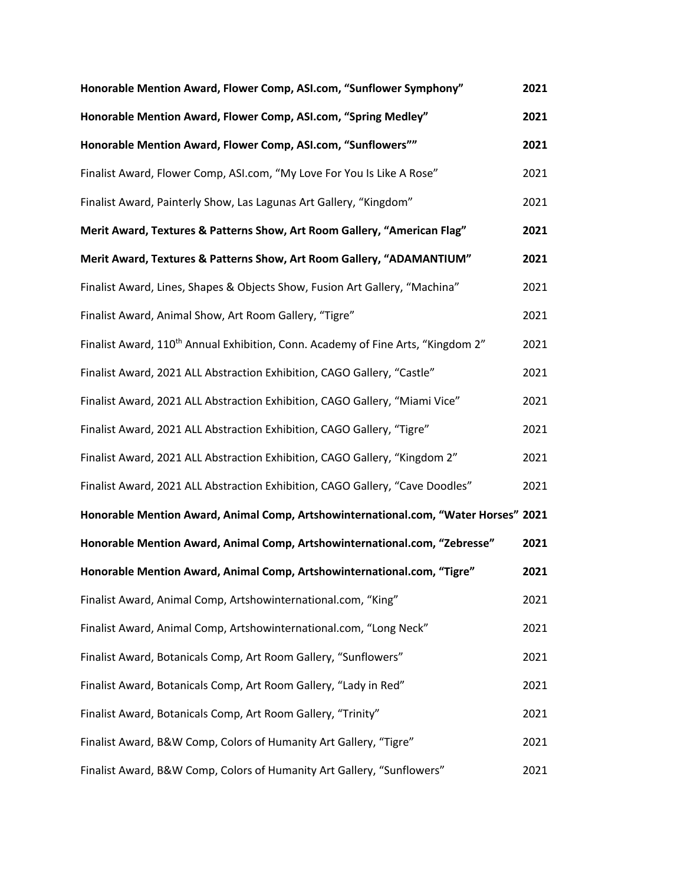| Honorable Mention Award, Flower Comp, ASI.com, "Sunflower Symphony"                          | 2021 |
|----------------------------------------------------------------------------------------------|------|
| Honorable Mention Award, Flower Comp, ASI.com, "Spring Medley"                               | 2021 |
| Honorable Mention Award, Flower Comp, ASI.com, "Sunflowers""                                 | 2021 |
| Finalist Award, Flower Comp, ASI.com, "My Love For You Is Like A Rose"                       | 2021 |
| Finalist Award, Painterly Show, Las Lagunas Art Gallery, "Kingdom"                           | 2021 |
| Merit Award, Textures & Patterns Show, Art Room Gallery, "American Flag"                     | 2021 |
| Merit Award, Textures & Patterns Show, Art Room Gallery, "ADAMANTIUM"                        | 2021 |
| Finalist Award, Lines, Shapes & Objects Show, Fusion Art Gallery, "Machina"                  | 2021 |
| Finalist Award, Animal Show, Art Room Gallery, "Tigre"                                       | 2021 |
| Finalist Award, 110 <sup>th</sup> Annual Exhibition, Conn. Academy of Fine Arts, "Kingdom 2" | 2021 |
| Finalist Award, 2021 ALL Abstraction Exhibition, CAGO Gallery, "Castle"                      | 2021 |
| Finalist Award, 2021 ALL Abstraction Exhibition, CAGO Gallery, "Miami Vice"                  | 2021 |
| Finalist Award, 2021 ALL Abstraction Exhibition, CAGO Gallery, "Tigre"                       | 2021 |
| Finalist Award, 2021 ALL Abstraction Exhibition, CAGO Gallery, "Kingdom 2"                   | 2021 |
| Finalist Award, 2021 ALL Abstraction Exhibition, CAGO Gallery, "Cave Doodles"                | 2021 |
| Honorable Mention Award, Animal Comp, Artshowinternational.com, "Water Horses" 2021          |      |
| Honorable Mention Award, Animal Comp, Artshowinternational.com, "Zebresse"                   | 2021 |
| Honorable Mention Award, Animal Comp, Artshowinternational.com, "Tigre"                      | 2021 |
| Finalist Award, Animal Comp, Artshowinternational.com, "King"                                | 2021 |
| Finalist Award, Animal Comp, Artshowinternational.com, "Long Neck"                           | 2021 |
| Finalist Award, Botanicals Comp, Art Room Gallery, "Sunflowers"                              | 2021 |
| Finalist Award, Botanicals Comp, Art Room Gallery, "Lady in Red"                             | 2021 |
| Finalist Award, Botanicals Comp, Art Room Gallery, "Trinity"                                 | 2021 |
| Finalist Award, B&W Comp, Colors of Humanity Art Gallery, "Tigre"                            | 2021 |
| Finalist Award, B&W Comp, Colors of Humanity Art Gallery, "Sunflowers"                       | 2021 |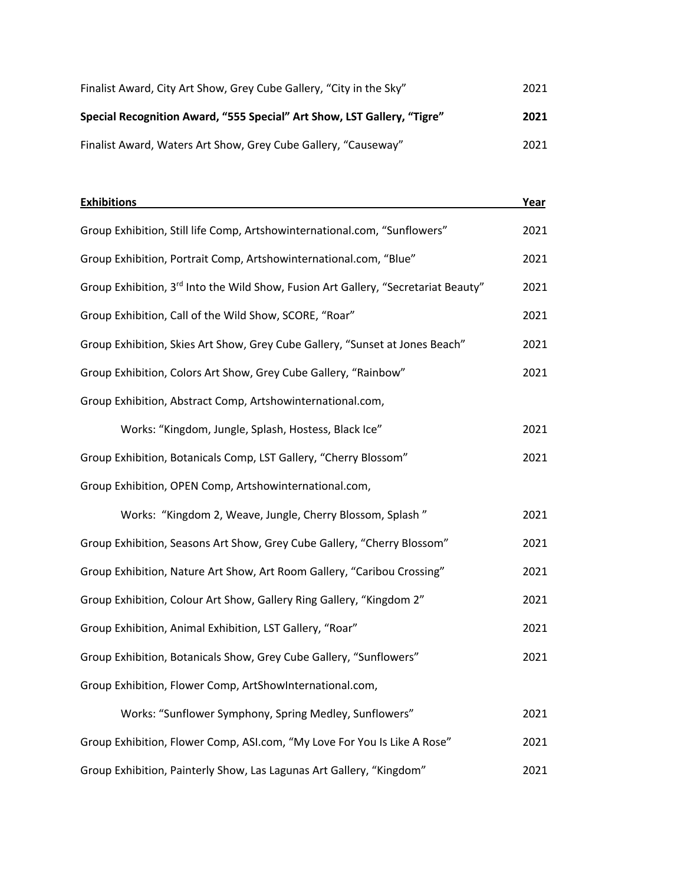| Finalist Award, City Art Show, Grey Cube Gallery, "City in the Sky"     | 2021 |
|-------------------------------------------------------------------------|------|
| Special Recognition Award, "555 Special" Art Show, LST Gallery, "Tigre" | 2021 |
| Finalist Award, Waters Art Show, Grey Cube Gallery, "Causeway"          | 2021 |

| <b>Exhibitions</b>                                                                 | Year |
|------------------------------------------------------------------------------------|------|
| Group Exhibition, Still life Comp, Artshowinternational.com, "Sunflowers"          | 2021 |
| Group Exhibition, Portrait Comp, Artshowinternational.com, "Blue"                  | 2021 |
| Group Exhibition, 3rd Into the Wild Show, Fusion Art Gallery, "Secretariat Beauty" | 2021 |
| Group Exhibition, Call of the Wild Show, SCORE, "Roar"                             | 2021 |
| Group Exhibition, Skies Art Show, Grey Cube Gallery, "Sunset at Jones Beach"       | 2021 |
| Group Exhibition, Colors Art Show, Grey Cube Gallery, "Rainbow"                    | 2021 |
| Group Exhibition, Abstract Comp, Artshowinternational.com,                         |      |
| Works: "Kingdom, Jungle, Splash, Hostess, Black Ice"                               | 2021 |
| Group Exhibition, Botanicals Comp, LST Gallery, "Cherry Blossom"                   | 2021 |
| Group Exhibition, OPEN Comp, Artshowinternational.com,                             |      |
| Works: "Kingdom 2, Weave, Jungle, Cherry Blossom, Splash"                          | 2021 |
| Group Exhibition, Seasons Art Show, Grey Cube Gallery, "Cherry Blossom"            | 2021 |
| Group Exhibition, Nature Art Show, Art Room Gallery, "Caribou Crossing"            | 2021 |
| Group Exhibition, Colour Art Show, Gallery Ring Gallery, "Kingdom 2"               | 2021 |
| Group Exhibition, Animal Exhibition, LST Gallery, "Roar"                           | 2021 |
| Group Exhibition, Botanicals Show, Grey Cube Gallery, "Sunflowers"                 | 2021 |
| Group Exhibition, Flower Comp, ArtShowInternational.com,                           |      |
| Works: "Sunflower Symphony, Spring Medley, Sunflowers"                             | 2021 |

Group Exhibition, Painterly Show, Las Lagunas Art Gallery, "Kingdom" 2021

Group Exhibition, Flower Comp, ASI.com, "My Love For You Is Like A Rose" 2021